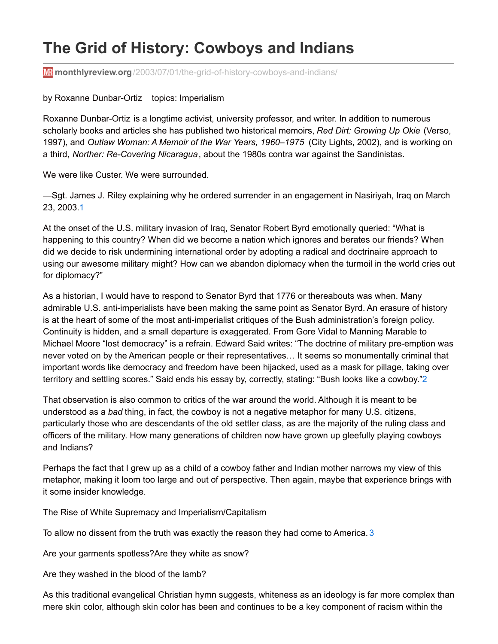# **The Grid of History: Cowboys and Indians**

**monthlyreview.org**[/2003/07/01/the-grid-of-history-cowboys-and-indians/](http://monthlyreview.org/2003/07/01/the-grid-of-history-cowboys-and-indians/)

### by Roxanne Dunbar-Ortiz topics: Imperialism

Roxanne Dunbar-Ortiz is a longtime activist, university professor, and writer. In addition to numerous scholarly books and articles she has published two historical memoirs, *Red Dirt: Growing Up Okie* (Verso, 1997), and *Outlaw Woman: A Memoir of the War Years, 1960–1975* (City Lights, 2002), and is working on a third, *Norther: Re-Covering Nicaragua*, about the 1980s contra war against the Sandinistas.

We were like Custer. We were surrounded.

—Sgt. James J. Riley explaining why he ordered surrender in an engagement in Nasiriyah, Iraq on March 23, 2003[.1](http://monthlyreview.org/2003/07/01/the-grid-of-history-cowboys-and-indians/#en1)

At the onset of the U.S. military invasion of Iraq, Senator Robert Byrd emotionally queried: "What is happening to this country? When did we become a nation which ignores and berates our friends? When did we decide to risk undermining international order by adopting a radical and doctrinaire approach to using our awesome military might? How can we abandon diplomacy when the turmoil in the world cries out for diplomacy?"

As a historian, I would have to respond to Senator Byrd that 1776 or thereabouts was when. Many admirable U.S. anti-imperialists have been making the same point as Senator Byrd. An erasure of history is at the heart of some of the most anti-imperialist critiques of the Bush administration's foreign policy. Continuity is hidden, and a small departure is exaggerated. From Gore Vidal to Manning Marable to Michael Moore "lost democracy" is a refrain. Edward Said writes: "The doctrine of military pre-emption was never voted on by the American people or their representatives… It seems so monumentally criminal that important words like democracy and freedom have been hijacked, used as a mask for pillage, taking over territory and settling scores." Said ends his essay by, correctly, stating: "Bush looks like a cowboy.["2](http://monthlyreview.org/2003/07/01/the-grid-of-history-cowboys-and-indians/#en2)

That observation is also common to critics of the war around the world. Although it is meant to be understood as a *bad* thing, in fact, the cowboy is not a negative metaphor for many U.S. citizens, particularly those who are descendants of the old settler class, as are the majority of the ruling class and officers of the military. How many generations of children now have grown up gleefully playing cowboys and Indians?

Perhaps the fact that I grew up as a child of a cowboy father and Indian mother narrows my view of this metaphor, making it loom too large and out of perspective. Then again, maybe that experience brings with it some insider knowledge.

The Rise of White Supremacy and Imperialism/Capitalism

To allow no dissent from the truth was exactly the reason they had come to America.  $3$ 

Are your garments spotless?Are they white as snow?

Are they washed in the blood of the lamb?

As this traditional evangelical Christian hymn suggests, whiteness as an ideology is far more complex than mere skin color, although skin color has been and continues to be a key component of racism within the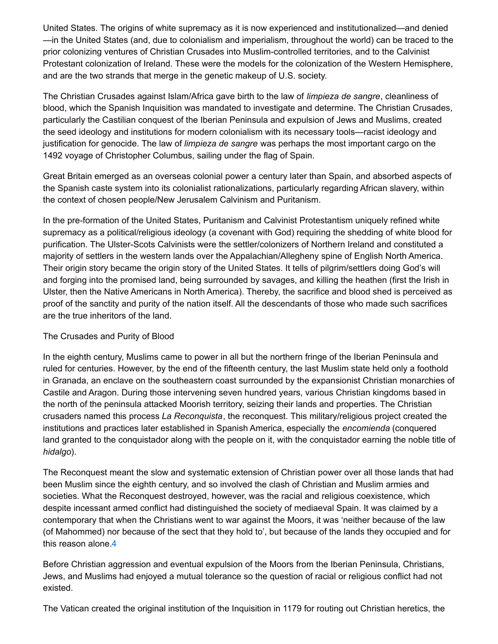United States. The origins of white supremacy as it is now experienced and institutionalized—and denied —in the United States (and, due to colonialism and imperialism, throughout the world) can be traced to the prior colonizing ventures of Christian Crusades into Muslim-controlled territories, and to the Calvinist Protestant colonization of Ireland. These were the models for the colonization of the Western Hemisphere, and are the two strands that merge in the genetic makeup of U.S. society.

The Christian Crusades against Islam/Africa gave birth to the law of *limpieza de sangre*, cleanliness of blood, which the Spanish Inquisition was mandated to investigate and determine. The Christian Crusades, particularly the Castilian conquest of the Iberian Peninsula and expulsion of Jews and Muslims, created the seed ideology and institutions for modern colonialism with its necessary tools—racist ideology and justification for genocide. The law of *limpieza de sangre* was perhaps the most important cargo on the 1492 voyage of Christopher Columbus, sailing under the flag of Spain.

Great Britain emerged as an overseas colonial power a century later than Spain, and absorbed aspects of the Spanish caste system into its colonialist rationalizations, particularly regarding African slavery, within the context of chosen people/New Jerusalem Calvinism and Puritanism.

In the pre-formation of the United States, Puritanism and Calvinist Protestantism uniquely refined white supremacy as a political/religious ideology (a covenant with God) requiring the shedding of white blood for purification. The Ulster-Scots Calvinists were the settler/colonizers of Northern Ireland and constituted a majority of settlers in the western lands over the Appalachian/Allegheny spine of English North America. Their origin story became the origin story of the United States. It tells of pilgrim/settlers doing God's will and forging into the promised land, being surrounded by savages, and killing the heathen (first the Irish in Ulster, then the Native Americans in North America). Thereby, the sacrifice and blood shed is perceived as proof of the sanctity and purity of the nation itself. All the descendants of those who made such sacrifices are the true inheritors of the land.

## The Crusades and Purity of Blood

In the eighth century, Muslims came to power in all but the northern fringe of the Iberian Peninsula and ruled for centuries. However, by the end of the fifteenth century, the last Muslim state held only a foothold in Granada, an enclave on the southeastern coast surrounded by the expansionist Christian monarchies of Castile and Aragon. During those intervening seven hundred years, various Christian kingdoms based in the north of the peninsula attacked Moorish territory, seizing their lands and properties. The Christian crusaders named this process *La Reconquista*, the reconquest. This military/religious project created the institutions and practices later established in Spanish America, especially the *encomienda* (conquered land granted to the conquistador along with the people on it, with the conquistador earning the noble title of *hidalgo*).

The Reconquest meant the slow and systematic extension of Christian power over all those lands that had been Muslim since the eighth century, and so involved the clash of Christian and Muslim armies and societies. What the Reconquest destroyed, however, was the racial and religious coexistence, which despite incessant armed conflict had distinguished the society of mediaeval Spain. It was claimed by a contemporary that when the Christians went to war against the Moors, it was 'neither because of the law (of Mahommed) nor because of the sect that they hold to', but because of the lands they occupied and for this reason alone  $4$ 

Before Christian aggression and eventual expulsion of the Moors from the Iberian Peninsula, Christians, Jews, and Muslims had enjoyed a mutual tolerance so the question of racial or religious conflict had not existed.

The Vatican created the original institution of the Inquisition in 1179 for routing out Christian heretics, the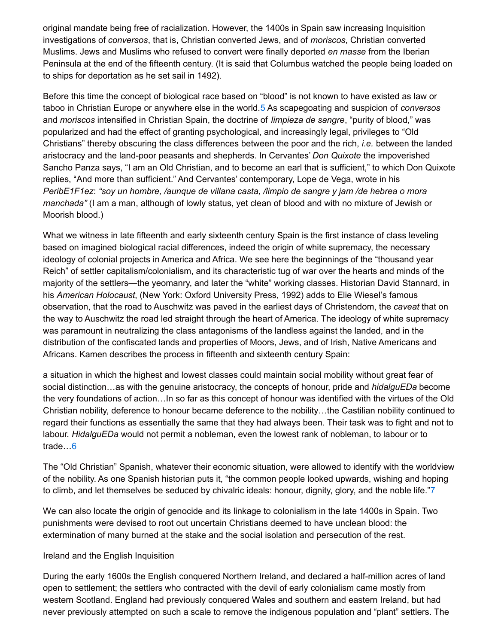original mandate being free of racialization. However, the 1400s in Spain saw increasing Inquisition investigations of *conversos*, that is, Christian converted Jews, and of *moriscos*, Christian converted Muslims. Jews and Muslims who refused to convert were finally deported *en masse* from the Iberian Peninsula at the end of the fifteenth century. (It is said that Columbus watched the people being loaded on to ships for deportation as he set sail in 1492).

Before this time the concept of biological race based on "blood" is not known to have existed as law or taboo in Christian Europe or anywhere else in the world.[5](http://monthlyreview.org/2003/07/01/the-grid-of-history-cowboys-and-indians/#en5) As scapegoating and suspicion of *conversos* and *moriscos* intensified in Christian Spain, the doctrine of *limpieza de sangre*, "purity of blood," was popularized and had the effect of granting psychological, and increasingly legal, privileges to "Old Christians" thereby obscuring the class differences between the poor and the rich, *i.e.* between the landed aristocracy and the land-poor peasants and shepherds. In Cervantes' *Don Quixote* the impoverished Sancho Panza says, "I am an Old Christian, and to become an earl that is sufficient," to which Don Quixote replies, "And more than sufficient." And Cervantes' contemporary, Lope de Vega, wrote in his *PeribE1F1ez*: *"soy un hombre, /aunque de villana casta, /limpio de sangre y jam /de hebrea o mora manchada"* (I am a man, although of lowly status, yet clean of blood and with no mixture of Jewish or Moorish blood.)

What we witness in late fifteenth and early sixteenth century Spain is the first instance of class leveling based on imagined biological racial differences, indeed the origin of white supremacy, the necessary ideology of colonial projects in America and Africa. We see here the beginnings of the "thousand year Reich" of settler capitalism/colonialism, and its characteristic tug of war over the hearts and minds of the majority of the settlers—the yeomanry, and later the "white" working classes. Historian David Stannard, in his *American Holocaust*, (New York: Oxford University Press, 1992) adds to Elie Wiesel's famous observation, that the road to Auschwitz was paved in the earliest days of Christendom, the *caveat* that on the way to Auschwitz the road led straight through the heart of America. The ideology of white supremacy was paramount in neutralizing the class antagonisms of the landless against the landed, and in the distribution of the confiscated lands and properties of Moors, Jews, and of Irish, Native Americans and Africans. Kamen describes the process in fifteenth and sixteenth century Spain:

a situation in which the highest and lowest classes could maintain social mobility without great fear of social distinction…as with the genuine aristocracy, the concepts of honour, pride and *hidalguEDa* become the very foundations of action…In so far as this concept of honour was identified with the virtues of the Old Christian nobility, deference to honour became deference to the nobility…the Castilian nobility continued to regard their functions as essentially the same that they had always been. Their task was to fight and not to labour. *HidalguEDa* would not permit a nobleman, even the lowest rank of nobleman, to labour or to trade[…6](http://monthlyreview.org/2003/07/01/the-grid-of-history-cowboys-and-indians/#en6)

The "Old Christian" Spanish, whatever their economic situation, were allowed to identify with the worldview of the nobility. As one Spanish historian puts it, "the common people looked upwards, wishing and hoping to climb, and let themselves be seduced by chivalric ideals: honour, dignity, glory, and the noble life.["7](http://monthlyreview.org/2003/07/01/the-grid-of-history-cowboys-and-indians/#en7)

We can also locate the origin of genocide and its linkage to colonialism in the late 1400s in Spain. Two punishments were devised to root out uncertain Christians deemed to have unclean blood: the extermination of many burned at the stake and the social isolation and persecution of the rest.

#### Ireland and the English Inquisition

During the early 1600s the English conquered Northern Ireland, and declared a half-million acres of land open to settlement; the settlers who contracted with the devil of early colonialism came mostly from western Scotland. England had previously conquered Wales and southern and eastern Ireland, but had never previously attempted on such a scale to remove the indigenous population and "plant" settlers. The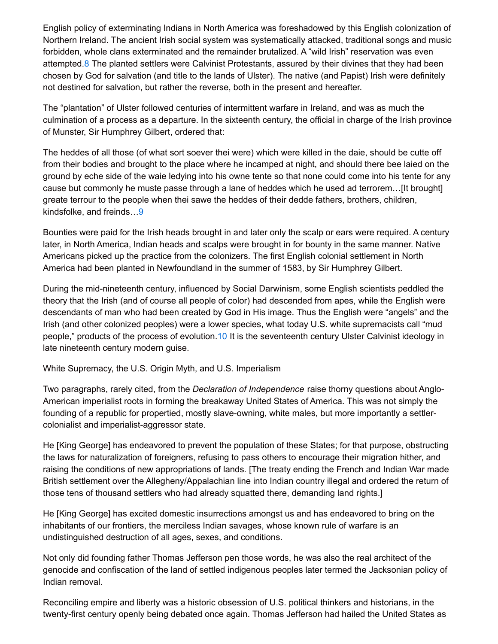English policy of exterminating Indians in North America was foreshadowed by this English colonization of Northern Ireland. The ancient Irish social system was systematically attacked, traditional songs and music forbidden, whole clans exterminated and the remainder brutalized. A "wild Irish" reservation was even attempted[.8](http://monthlyreview.org/2003/07/01/the-grid-of-history-cowboys-and-indians/#en8) The planted settlers were Calvinist Protestants, assured by their divines that they had been chosen by God for salvation (and title to the lands of Ulster). The native (and Papist) Irish were definitely not destined for salvation, but rather the reverse, both in the present and hereafter.

The "plantation" of Ulster followed centuries of intermittent warfare in Ireland, and was as much the culmination of a process as a departure. In the sixteenth century, the official in charge of the Irish province of Munster, Sir Humphrey Gilbert, ordered that:

The heddes of all those (of what sort soever thei were) which were killed in the daie, should be cutte off from their bodies and brought to the place where he incamped at night, and should there bee laied on the ground by eche side of the waie ledying into his owne tente so that none could come into his tente for any cause but commonly he muste passe through a lane of heddes which he used ad terrorem…[It brought] greate terrour to the people when thei sawe the heddes of their dedde fathers, brothers, children, kindsfolke, and freinds[…9](http://monthlyreview.org/2003/07/01/the-grid-of-history-cowboys-and-indians/#en9)

Bounties were paid for the Irish heads brought in and later only the scalp or ears were required. A century later, in North America, Indian heads and scalps were brought in for bounty in the same manner. Native Americans picked up the practice from the colonizers. The first English colonial settlement in North America had been planted in Newfoundland in the summer of 1583, by Sir Humphrey Gilbert.

During the mid-nineteenth century, influenced by Social Darwinism, some English scientists peddled the theory that the Irish (and of course all people of color) had descended from apes, while the English were descendants of man who had been created by God in His image. Thus the English were "angels" and the Irish (and other colonized peoples) were a lower species, what today U.S. white supremacists call "mud people," products of the process of evolution[.10](http://monthlyreview.org/2003/07/01/the-grid-of-history-cowboys-and-indians/#en10) It is the seventeenth century Ulster Calvinist ideology in late nineteenth century modern guise.

White Supremacy, the U.S. Origin Myth, and U.S. Imperialism

Two paragraphs, rarely cited, from the *Declaration of Independence* raise thorny questions about Anglo-American imperialist roots in forming the breakaway United States of America. This was not simply the founding of a republic for propertied, mostly slave-owning, white males, but more importantly a settlercolonialist and imperialist-aggressor state.

He [King George] has endeavored to prevent the population of these States; for that purpose, obstructing the laws for naturalization of foreigners, refusing to pass others to encourage their migration hither, and raising the conditions of new appropriations of lands. [The treaty ending the French and Indian War made British settlement over the Allegheny/Appalachian line into Indian country illegal and ordered the return of those tens of thousand settlers who had already squatted there, demanding land rights.]

He [King George] has excited domestic insurrections amongst us and has endeavored to bring on the inhabitants of our frontiers, the merciless Indian savages, whose known rule of warfare is an undistinguished destruction of all ages, sexes, and conditions.

Not only did founding father Thomas Jefferson pen those words, he was also the real architect of the genocide and confiscation of the land of settled indigenous peoples later termed the Jacksonian policy of Indian removal.

Reconciling empire and liberty was a historic obsession of U.S. political thinkers and historians, in the twenty-first century openly being debated once again. Thomas Jefferson had hailed the United States as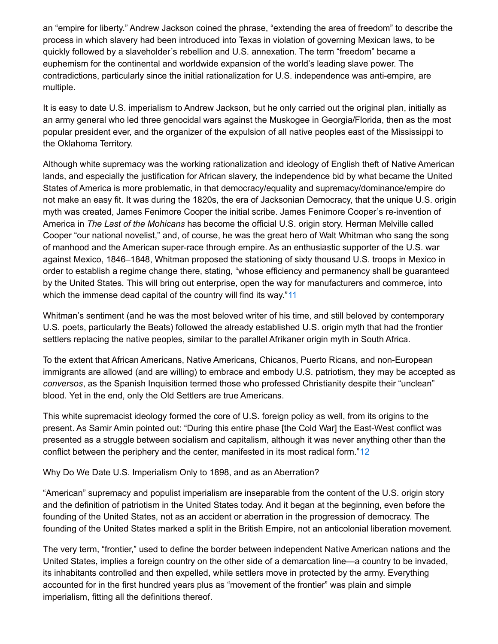an "empire for liberty." Andrew Jackson coined the phrase, "extending the area of freedom" to describe the process in which slavery had been introduced into Texas in violation of governing Mexican laws, to be quickly followed by a slaveholder's rebellion and U.S. annexation. The term "freedom" became a euphemism for the continental and worldwide expansion of the world's leading slave power. The contradictions, particularly since the initial rationalization for U.S. independence was anti-empire, are multiple.

It is easy to date U.S. imperialism to Andrew Jackson, but he only carried out the original plan, initially as an army general who led three genocidal wars against the Muskogee in Georgia/Florida, then as the most popular president ever, and the organizer of the expulsion of all native peoples east of the Mississippi to the Oklahoma Territory.

Although white supremacy was the working rationalization and ideology of English theft of Native American lands, and especially the justification for African slavery, the independence bid by what became the United States of America is more problematic, in that democracy/equality and supremacy/dominance/empire do not make an easy fit. It was during the 1820s, the era of Jacksonian Democracy, that the unique U.S. origin myth was created, James Fenimore Cooper the initial scribe. James Fenimore Cooper's re-invention of America in *The Last of the Mohicans* has become the official U.S. origin story. Herman Melville called Cooper "our national novelist," and, of course, he was the great hero of Walt Whitman who sang the song of manhood and the American super-race through empire. As an enthusiastic supporter of the U.S. war against Mexico, 1846–1848, Whitman proposed the stationing of sixty thousand U.S. troops in Mexico in order to establish a regime change there, stating, "whose efficiency and permanency shall be guaranteed by the United States. This will bring out enterprise, open the way for manufacturers and commerce, into which the immense dead capital of the country will find its way."[11](http://monthlyreview.org/2003/07/01/the-grid-of-history-cowboys-and-indians/#en11)

Whitman's sentiment (and he was the most beloved writer of his time, and still beloved by contemporary U.S. poets, particularly the Beats) followed the already established U.S. origin myth that had the frontier settlers replacing the native peoples, similar to the parallel Afrikaner origin myth in South Africa.

To the extent that African Americans, Native Americans, Chicanos, Puerto Ricans, and non-European immigrants are allowed (and are willing) to embrace and embody U.S. patriotism, they may be accepted as *conversos*, as the Spanish Inquisition termed those who professed Christianity despite their "unclean" blood. Yet in the end, only the Old Settlers are true Americans.

This white supremacist ideology formed the core of U.S. foreign policy as well, from its origins to the present. As Samir Amin pointed out: "During this entire phase [the Cold War] the East-West conflict was presented as a struggle between socialism and capitalism, although it was never anything other than the conflict between the periphery and the center, manifested in its most radical form.["12](http://monthlyreview.org/2003/07/01/the-grid-of-history-cowboys-and-indians/#en12)

Why Do We Date U.S. Imperialism Only to 1898, and as an Aberration?

"American" supremacy and populist imperialism are inseparable from the content of the U.S. origin story and the definition of patriotism in the United States today. And it began at the beginning, even before the founding of the United States, not as an accident or aberration in the progression of democracy. The founding of the United States marked a split in the British Empire, not an anticolonial liberation movement.

The very term, "frontier," used to define the border between independent Native American nations and the United States, implies a foreign country on the other side of a demarcation line—a country to be invaded, its inhabitants controlled and then expelled, while settlers move in protected by the army. Everything accounted for in the first hundred years plus as "movement of the frontier" was plain and simple imperialism, fitting all the definitions thereof.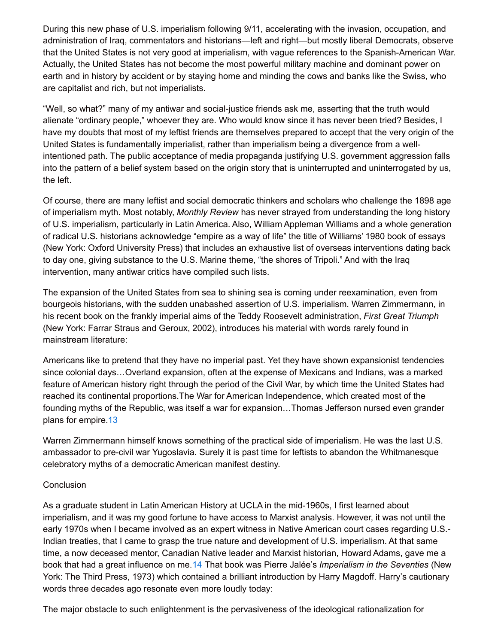During this new phase of U.S. imperialism following 9/11, accelerating with the invasion, occupation, and administration of Iraq, commentators and historians—left and right—but mostly liberal Democrats, observe that the United States is not very good at imperialism, with vague references to the Spanish-American War. Actually, the United States has not become the most powerful military machine and dominant power on earth and in history by accident or by staying home and minding the cows and banks like the Swiss, who are capitalist and rich, but not imperialists.

"Well, so what?" many of my antiwar and social-justice friends ask me, asserting that the truth would alienate "ordinary people," whoever they are. Who would know since it has never been tried? Besides, I have my doubts that most of my leftist friends are themselves prepared to accept that the very origin of the United States is fundamentally imperialist, rather than imperialism being a divergence from a wellintentioned path. The public acceptance of media propaganda justifying U.S. government aggression falls into the pattern of a belief system based on the origin story that is uninterrupted and uninterrogated by us, the left.

Of course, there are many leftist and social democratic thinkers and scholars who challenge the 1898 age of imperialism myth. Most notably, *Monthly Review* has never strayed from understanding the long history of U.S. imperialism, particularly in Latin America. Also, William Appleman Williams and a whole generation of radical U.S. historians acknowledge "empire as a way of life" the title of Williams' 1980 book of essays (New York: Oxford University Press) that includes an exhaustive list of overseas interventions dating back to day one, giving substance to the U.S. Marine theme, "the shores of Tripoli." And with the Iraq intervention, many antiwar critics have compiled such lists.

The expansion of the United States from sea to shining sea is coming under reexamination, even from bourgeois historians, with the sudden unabashed assertion of U.S. imperialism. Warren Zimmermann, in his recent book on the frankly imperial aims of the Teddy Roosevelt administration, *First Great Triumph* (New York: Farrar Straus and Geroux, 2002), introduces his material with words rarely found in mainstream literature:

Americans like to pretend that they have no imperial past. Yet they have shown expansionist tendencies since colonial days…Overland expansion, often at the expense of Mexicans and Indians, was a marked feature of American history right through the period of the Civil War, by which time the United States had reached its continental proportions.The War for American Independence, which created most of the founding myths of the Republic, was itself a war for expansion…Thomas Jefferson nursed even grander plans for empire[.13](http://monthlyreview.org/2003/07/01/the-grid-of-history-cowboys-and-indians/#en13)

Warren Zimmermann himself knows something of the practical side of imperialism. He was the last U.S. ambassador to pre-civil war Yugoslavia. Surely it is past time for leftists to abandon the Whitmanesque celebratory myths of a democratic American manifest destiny.

## **Conclusion**

As a graduate student in Latin American History at UCLA in the mid-1960s, I first learned about imperialism, and it was my good fortune to have access to Marxist analysis. However, it was not until the early 1970s when I became involved as an expert witness in Native American court cases regarding U.S.- Indian treaties, that I came to grasp the true nature and development of U.S. imperialism. At that same time, a now deceased mentor, Canadian Native leader and Marxist historian, Howard Adams, gave me a book that had a great influence on me[.14](http://monthlyreview.org/2003/07/01/the-grid-of-history-cowboys-and-indians/#en14) That book was Pierre Jalée's *Imperialism in the Seventies* (New York: The Third Press, 1973) which contained a brilliant introduction by Harry Magdoff. Harry's cautionary words three decades ago resonate even more loudly today:

The major obstacle to such enlightenment is the pervasiveness of the ideological rationalization for